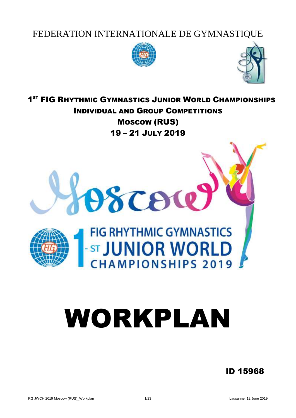# FEDERATION INTERNATIONALE DE GYMNASTIQUE





**1ST FIG RHYTHMIC GYMNASTICS JUNIOR WORLD CHAMPIONSHIPS** INDIVIDUAL AND GROUP COMPETITIONS MOSCOW (RUS) 19 – 21 JULY 2019



# WORKPLAN

# ID 15968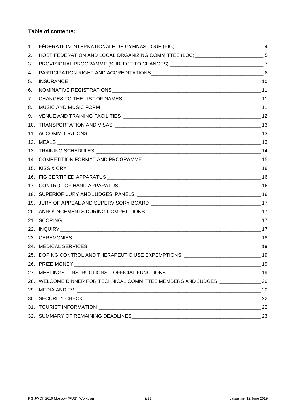# **Table of contents:**

| 1. | FÉDÉRATION INTERNATIONALE DE GYMNASTIQUE (FIG) __________________________________ 4 |    |
|----|-------------------------------------------------------------------------------------|----|
| 2. | HOST FEDERATION AND LOCAL ORGANIZING COMMITTEE (LOC) ___________________________5   |    |
| 3. | PROVISIONAL PROGRAMME (SUBJECT TO CHANGES) __________________________________7      |    |
| 4. |                                                                                     |    |
| 5. |                                                                                     |    |
| 6. |                                                                                     |    |
| 7. |                                                                                     |    |
| 8. |                                                                                     |    |
| 9. |                                                                                     |    |
|    |                                                                                     |    |
|    |                                                                                     |    |
|    |                                                                                     |    |
|    |                                                                                     |    |
|    |                                                                                     |    |
|    |                                                                                     |    |
|    |                                                                                     |    |
|    |                                                                                     |    |
|    |                                                                                     |    |
|    |                                                                                     |    |
|    |                                                                                     |    |
|    |                                                                                     |    |
|    |                                                                                     |    |
|    |                                                                                     |    |
|    |                                                                                     |    |
|    | 25. DOPING CONTROL AND THERAPEUTIC USE EXPEMPTIONS _____________________________19  |    |
|    | 26. PRIZE MONEY                                                                     | 19 |
|    | 27. MEETINGS - INSTRUCTIONS - OFFICIAL FUNCTIONS _______________________________19  |    |
|    | 28. WELCOME DINNER FOR TECHNICAL COMMITTEE MEMBERS AND JUDGES _________________ 20  |    |
|    |                                                                                     | 20 |
|    |                                                                                     |    |
|    |                                                                                     | 22 |
|    |                                                                                     | 23 |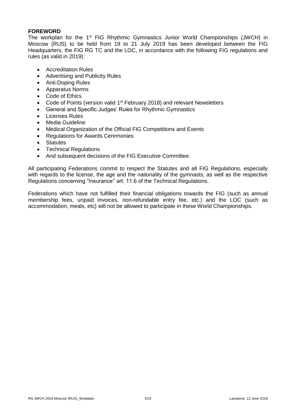# **FOREWORD**

The workplan for the 1<sup>st</sup> FIG Rhythmic Gymnastics Junior World Championships (JWCH) in Moscow (RUS) to be held from 19 to 21 July 2019 has been developed between the FIG Headquarters, the FIG RG TC and the LOC, in accordance with the following FIG regulations and rules (as valid in 2019):

- Accreditation Rules
- Advertising and Publicity Rules
- Anti-Doping Rules
- Apparatus Norms
- Code of Ethics
- Code of Points (version valid 1<sup>st</sup> February 2018) and relevant Newsletters
- General and Specific Judges' Rules for Rhythmic Gymnastics
- Licenses Rules
- Media Guideline
- Medical Organization of the Official FIG Competitions and Events
- Regulations for Awards Ceremonies
- Statutes
- Technical Regulations
- And subsequent decisions of the FIG Executive Committee.

All participating Federations commit to respect the Statutes and all FIG Regulations, especially with regards to the license, the age and the nationality of the gymnasts, as well as the respective Regulations concerning "Insurance'' art. 11.6 of the Technical Regulations.

Federations which have not fulfilled their financial obligations towards the FIG (such as annual membership fees, unpaid invoices, non-refundable entry fee, etc.) and the LOC (such as accommodation, meals, etc) will not be allowed to participate in these World Championships.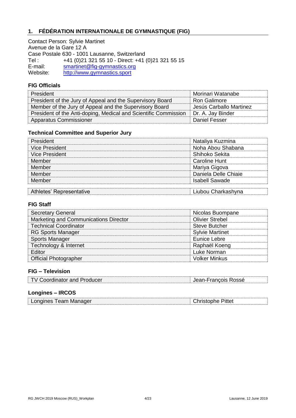# <span id="page-3-0"></span>**1. FÉDÉRATION INTERNATIONALE DE GYMNASTIQUE (FIG)**

Contact Person: Sylvie Martinet Avenue de la Gare 12 A Case Postale 630 - 1001 Lausanne, Switzerland Tel : +41 (0)21 321 55 10 - Direct: +41 (0)21 321 55 15 E-mail: [smartinet@fig-gymnastics.org](mailto:smartinet@fig-gymnastics.org) Website: [http://www.gymnastics.sport](http://www.gymnastics.sport/)

# **FIG Officials**

| President                                                       | Morinari Watanabe       |
|-----------------------------------------------------------------|-------------------------|
| President of the Jury of Appeal and the Supervisory Board       | <b>Ron Galimore</b>     |
| Member of the Jury of Appeal and the Supervisory Board          | Jesús Carballo Martinez |
| President of the Anti-doping, Medical and Scientific Commission | Dr. A. Jay Binder       |
| <b>Apparatus Commissioner</b>                                   | <b>Daniel Fesser</b>    |

# **Technical Committee and Superior Jury**

| President                | Nataliya Kuzmina      |
|--------------------------|-----------------------|
| <b>Vice President</b>    | Noha Abou Shabana     |
| <b>Vice President</b>    | Shihoko Sekita        |
| Member                   | Caroline Hunt         |
| Member                   | Mariya Gigova         |
| Member                   | Daniela Delle Chiaie  |
| Member                   | <b>Isabell Sawade</b> |
|                          |                       |
| Athletes' Representative | Liubou Charkashyna    |

# **FIG Staff**

| <b>Secretary General</b>              | Nicolas Buompane       |
|---------------------------------------|------------------------|
| Marketing and Communications Director | <b>Olivier Strebel</b> |
| <b>Technical Coordinator</b>          | <b>Steve Butcher</b>   |
| <b>RG Sports Manager</b>              | <b>Sylvie Martinet</b> |
| <b>Sports Manager</b>                 | Eunice Lebre           |
| Technology & Internet                 | Raphaël Koeng          |
| Editor                                | Luke Norman            |
| <b>Official Photographer</b>          | <b>Volker Minkus</b>   |

# **FIG – Television**

| TV Coordinator and Producer | Jean-Francois Rossé |  |
|-----------------------------|---------------------|--|
|                             |                     |  |

# **Longines – IRCOS**

| ongines Team Manager. | Pittel |
|-----------------------|--------|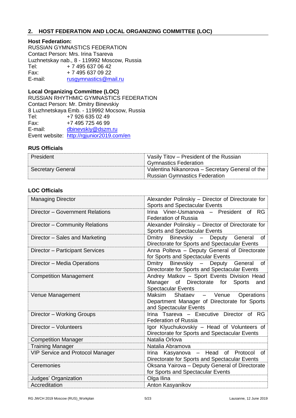# <span id="page-4-0"></span>**2. HOST FEDERATION AND LOCAL ORGANIZING COMMITTEE (LOC)**

# **Host Federation:**

RUSSIAN GYMNASTICS FEDERATION Contact Person: Mrs. Irina Tsareva Luzhnetskay nab., 8 - 119992 Moscow, Russia Tel: + 7 495 637 06 42 Fax: + 7 495 637 09 22<br>E-mail: rusqymnastics@m [rusgymnastics@mail.ru](mailto:rusgymnastics@mail.ru)

# **Local Organizing Committee (LOC)**

RUSSIAN RHYTHMIC GYMNASTICS FEDERATION Contact Person: Mr. Dmitry Binevskiy 8 Luzhnetskaya Emb. - 119992 Mocsow, Russia Tel: +7 926 635 02 49 Fax: +7 495 725 46 99 E-mail: [dbinevskiy@dszm.ru](mailto:rusrggym@mail.ru) Event website: <http://rgjunior2019.com/en>

# **RUS Officials**

| President                | Vasily Titov – President of the Russian         |
|--------------------------|-------------------------------------------------|
|                          | <b>Gymnastics Federation</b>                    |
| <b>Secretary General</b> | Valentina Nikanorova - Secretary General of the |
|                          | <b>Russian Gymnastics Federation</b>            |

# **LOC Officials**

| <b>Managing Director</b>                | Alexander Polinskiy - Director of Directorate for<br>Sports and Spectacular Events                                  |
|-----------------------------------------|---------------------------------------------------------------------------------------------------------------------|
| Director - Government Relations         | Viner-Usmanova - President of RG<br>Irina<br><b>Federation of Russia</b>                                            |
| Director - Community Relations          | Alexander Polinskiy - Director of Directorate for<br><b>Sports and Spectacular Events</b>                           |
| Director - Sales and Marketing          | Binevskiy - Deputy General<br>Dmitry<br>of<br>Directorate for Sports and Spectacular Events                         |
| Director - Participant Services         | Anna Polteva - Deputy General of Directorate<br>for Sports and Spectacular Events                                   |
| Director - Media Operations             | Binevskiy - Deputy General<br>Dmitry<br>of<br>Directorate for Sports and Spectacular Events                         |
| <b>Competition Management</b>           | Andrey Matkov - Sport Events Division Head<br>Manager of Directorate for Sports<br>and<br><b>Spectacular Events</b> |
| Venue Management                        | Shataev - Venue<br>Maksim<br>Operations                                                                             |
|                                         | Department Manager of Directorate for Sports<br>and Spectacular Events                                              |
| Director - Working Groups               | Irina Tsareva - Executive Director of RG<br><b>Federation of Russia</b>                                             |
| Director - Volunteers                   | Igor Klyuchukovskiy - Head of Volunteers of<br>Directorate for Sports and Spectacular Events                        |
| <b>Competition Manager</b>              | Natalia Orlova                                                                                                      |
| <b>Training Manager</b>                 | Natalia Abramova                                                                                                    |
| <b>VIP Service and Protocol Manager</b> | Irina Kasyanova - Head of Protocol<br>0f<br>Directorate for Sports and Spectacular Events                           |
| Ceremonies                              | Oksana Yairova - Deputy General of Directorate<br>for Sports and Spectacular Events                                 |
| Judges' Organization                    | Olga Ilina                                                                                                          |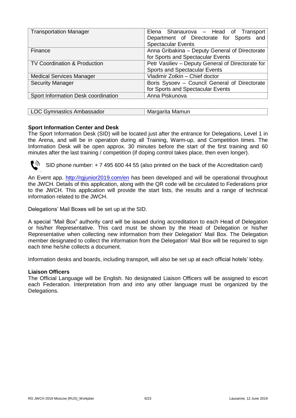| <b>Transportation Manager</b>           | Elena Shanaurova - Head of Transport<br>Department of Directorate for Sports and<br><b>Spectacular Events</b> |
|-----------------------------------------|---------------------------------------------------------------------------------------------------------------|
| Finance                                 | Anna Gribakina - Deputy General of Directorate<br>for Sports and Spectacular Events                           |
| <b>TV Coordination &amp; Production</b> | Petr Vasiliev - Deputy General of Directorate for<br><b>Sports and Spectacular Events</b>                     |
| <b>Medical Services Manager</b>         | Vladimir Zotkin - Chief doctor                                                                                |
| <b>Security Manager</b>                 | Boris Sysoev - Council General of Directorate<br>for Sports and Spectacular Events                            |
| Sport Information Desk coordination     | Anna Piskunova                                                                                                |

| LOC Gymnastics Ambassador | Margarita Mamun |  |
|---------------------------|-----------------|--|

# **Sport Information Center and Desk**

The Sport Information Desk (SID) will be located just after the entrance for Delegations, Level 1 in the Arena, and will be in operation during all Training, Warm-up, and Competition times. The Information Desk will be open approx. 30 minutes before the start of the first training and 60 minutes after the last training / competition (if doping control takes place, then even longer).



SID phone number: + 7 495 600 44 55 (also printed on the back of the Accreditation card)

An Event app.<http://rgjunior2019.com/en> has been developed and will be operational throughout the JWCH. Details of this application, along with the QR code will be circulated to Federations prior to the JWCH. This application will provide the start lists, the results and a range of technical information related to the JWCH.

Delegations' Mail Boxes will be set up at the SID.

A special "Mail Box" authority card will be issued during accreditation to each Head of Delegation or his/her Representative. This card must be shown by the Head of Delegation or his/her Representative when collecting new information from their Delegation' Mail Box. The Delegation member designated to collect the information from the Delegation' Mail Box will be required to sign each time he/she collects a document.

Information desks and boards, including transport, will also be set up at each official hotels' lobby.

#### **Liaison Officers**

The Official Language will be English. No designated Liaison Officers will be assigned to escort each Federation. Interpretation from and into any other language must be organized by the Delegations.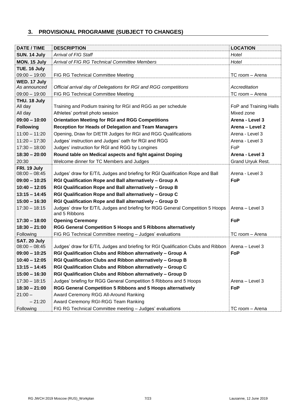# <span id="page-6-0"></span>**3. PROVISIONAL PROGRAMME (SUBJECT TO CHANGES)**

| DATE / TIME             | <b>DESCRIPTION</b>                                                                              | <b>LOCATION</b>        |
|-------------------------|-------------------------------------------------------------------------------------------------|------------------------|
| SUN. 14 July            | Arrival of FIG Staff                                                                            | Hotel                  |
| MON. 15 July            | Arrival of FIG RG Technical Committee Members                                                   | Hotel                  |
| TUE. 16 July            |                                                                                                 |                        |
| $09:00 - 19:00$         | FIG RG Technical Committee Meeting                                                              | TC room - Arena        |
| WED. 17 July            |                                                                                                 |                        |
| As announced            | Official arrival day of Delegations for RGI and RGG competitions                                | Accreditation          |
| $09:00 - 19:00$         | FIG RG Technical Committee Meeting                                                              | TC room - Arena        |
| THU. 18 July<br>All day | Training and Podium training for RGI and RGG as per schedule                                    | FoP and Training Halls |
| All day                 | Athletes' portrait photo session                                                                | Mixed zone             |
| $09:00 - 10:00$         | <b>Orientation Meeting for RGI and RGG Competitions</b>                                         | Arena - Level 3        |
| <b>Following</b>        | Reception for Heads of Delegation and Team Managers                                             | Arena - Level 2        |
| $11:00 - 11:20$         | Opening, Draw for D/ETR Judges for RGI and RGG Qualifications                                   | Arena - Level 3        |
| $11:20 - 17:30$         | Judges' instruction and Judges' oath for RGI and RGG                                            | Arena - Level 3        |
| $17:30 - 18:00$         | Judges' instruction for RGI and RGG by Longines                                                 | FoP                    |
|                         |                                                                                                 |                        |
| $18:30 - 20:00$         | Round table on Medical aspects and fight against Doping                                         | Arena - Level 3        |
| 20:30<br>FRI. 19 July   | Welcome dinner for TC Members and Judges                                                        | Grand Uryuk Rest.      |
| $08:00 - 08:45$         | Judges' draw for E/T/L Judges and briefing for RGI Qualification Rope and Ball                  | Arena - Level 3        |
| $09:00 - 10:25$         | RGI Qualification Rope and Ball alternatively - Group A                                         | FoP                    |
| $10:40 - 12:05$         | RGI Qualification Rope and Ball alternatively - Group B                                         |                        |
| $13:15 - 14:45$         | RGI Qualification Rope and Ball alternatively - Group C                                         |                        |
| $15:00 - 16:30$         | RGI Qualification Rope and Ball alternatively - Group D                                         |                        |
| $17:30 - 18:15$         | Judges' draw for E/T/L Judges and briefing for RGG General Competition 5 Hoops<br>and 5 Ribbons | Arena - Level 3        |
| $17:30 - 18:00$         | <b>Opening Ceremony</b>                                                                         | FoP                    |
| $18:30 - 21:00$         | RGG General Competition 5 Hoops and 5 Ribbons alternatively                                     |                        |
| Following               | FIG RG Technical Committee meeting - Judges' evaluations                                        | TC room - Arena        |
| SAT. 20 July            |                                                                                                 |                        |
| $08:00 - 08:45$         | Judges' draw for E/T/L Judges and briefing for RGI Qualification Clubs and Ribbon               | Arena - Level 3        |
| $09:00 - 10:25$         | RGI Qualification Clubs and Ribbon alternatively - Group A                                      | FoP                    |
| $10:40 - 12:05$         | RGI Qualification Clubs and Ribbon alternatively - Group B                                      |                        |
| $13:15 - 14:45$         | RGI Qualification Clubs and Ribbon alternatively - Group C                                      |                        |
| $15:00 - 16:30$         | RGI Qualification Clubs and Ribbon alternatively - Group D                                      |                        |
| $17:30 - 18:15$         | Judges' briefing for RGG General Competition 5 Ribbons and 5 Hoops                              | Arena - Level 3        |
| $18:30 - 21:00$         | RGG General Competition 5 Ribbons and 5 Hoops alternatively                                     | <b>FoP</b>             |
| $21:00 -$               | Award Ceremony RGG All-Around Ranking                                                           |                        |
| $-21:20$                | Award Ceremony RGI-RGG Team Ranking                                                             |                        |
| Following               | FIG RG Technical Committee meeting - Judges' evaluations                                        | TC room - Arena        |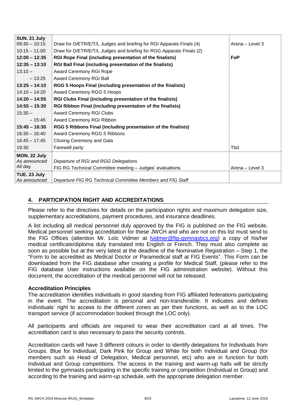| <b>SUN. 21 July</b> |                                                                      |                 |
|---------------------|----------------------------------------------------------------------|-----------------|
| $09:30 - 10:15$     | Draw for D/ETR/E/T/L Judges and briefing for RGI Apparats Finals (4) | Arena - Level 3 |
| $10:15 - 11:00$     | Draw for D/ETR/E/T/L Judges and briefing for RGG Apparats Finals (2) |                 |
| $12:00 - 12:35$     | RGI Rope Final (including presentation of the finalists)             | <b>FoP</b>      |
| $12:35 - 13:10$     | RGI Ball Final (including presentation of the finalists)             |                 |
| $13:10 -$           | Award Ceremony RGI Rope                                              |                 |
| $-13:25$            | Award Ceremony RGI Ball                                              |                 |
| $13:25 - 14:10$     | RGG 5 Hoops Final (including presentation of the finalists)          |                 |
| $14:10 - 14:20$     | Award Ceremony RGG 5 Hoops                                           |                 |
| $14:20 - 14:55$     | RGI Clubs Final (including presentation of the finalists)            |                 |
| $14:55 - 15:30$     | RGI Ribbon Final (including presentation of the finalists)           |                 |
| $15:30 -$           | <b>Award Ceremony RGI Clubs</b>                                      |                 |
| $-15:45$            | Award Ceremony RGI Ribbon                                            |                 |
| $15:45 - 16:30$     | RGG 5 Ribbons Final (including presentation of the finalists)        |                 |
| $16:30 - 16:40$     | Award Ceremony RGG 5 Ribbons                                         |                 |
| $16:45 - 17:45$     | Closing Ceremony and Gala                                            |                 |
| 19:30               | Farewell party                                                       | Tbd             |
| MON. 22 July        |                                                                      |                 |
| As announced        | Departure of RGI and RGG Delegations                                 |                 |
| All day             | FIG RG Technical Committee meeting - Judges' evaluations             | Arena - Level 3 |
| TUE. 23 July        |                                                                      |                 |
| As announced        | Departure FIG RG Technical Committee Members and FIG Staff           |                 |

# <span id="page-7-0"></span>**4. PARTICIPATION RIGHT AND ACCREDITATIONS**

Please refer to the directives for details on the participation rights and maximum delegation size, supplementary accreditations, payment procedures, and insurance deadlines.

A list including all medical personnel duly approved by the FIG is published on the FIG website. Medical personnel seeking accreditation for these JWCH and who are not on this list must send to the FIG Offices (attention Mr. Loïc Vidmer at [lvidmer@fig-gymnastics.org\)](mailto:lvidmer@fig-gymnastics.org) a copy of his/her medical certificate/diploma duly translated into English or French. They must also complete as soon as possible but at the very latest at the deadline of the Nominative Registration – Step 1, the "Form to be accredited as Medical Doctor or Paramedical staff at FIG Events". This Form can be downloaded from the FIG database after creating a profile for Medical Staff, (please refer to the FIG database User instructions available on the FIG administration website). Without this document, the accreditation of the medical personnel will not be released.

#### **Accreditation Principles**

The accreditation identifies individuals in good standing from FIG affiliated federations participating in the event. The accreditation is personal and non-transferable. It indicates and defines individuals' right to access to the different zones as per their functions, as well as to the LOC transport service (if accommodation booked through the LOC only).

All participants and officials are required to wear their accreditation card at all times. The accreditation card is also necessary to pass the security controls.

Accreditation cards will have 3 different colours in order to identify delegations for Individuals from Groups. Blue for Individual, Dark Pink for Group and White for both Individual and Group (for members such as Head of Delegation, Medical personnel, etc) who are in function for both Individual and Group competitions. The access in the training and warm-up halls will be strictly limited to the gymnasts participating in the specific training or competition (Individual or Group) and according to the training and warm-up schedule, with the appropriate delegation member.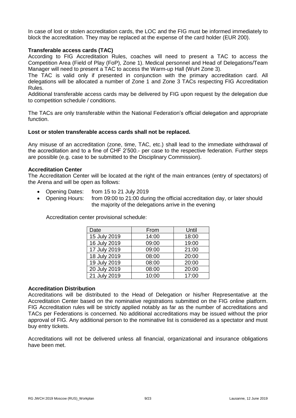In case of lost or stolen accreditation cards, the LOC and the FIG must be informed immediately to block the accreditation. They may be replaced at the expense of the card holder (EUR 200).

# **Transferable access cards (TAC)**

According to FIG Accreditation Rules, coaches will need to present a TAC to access the Competition Area (Field of Play (FoP), Zone 1). Medical personnel and Head of Delegations/Team Manager will need to present a TAC to access the Warm-up Hall (WuH Zone 3).

The TAC is valid only if presented in conjunction with the primary accreditation card. All delegations will be allocated a number of Zone 1 and Zone 3 TACs respecting FIG Accreditation Rules.

Additional transferable access cards may be delivered by FIG upon request by the delegation due to competition schedule / conditions.

The TACs are only transferable within the National Federation's official delegation and appropriate function.

#### **Lost or stolen transferable access cards shall not be replaced.**

Any misuse of an accreditation (zone, time, TAC, etc.) shall lead to the immediate withdrawal of the accreditation and to a fine of CHF 2'500.- per case to the respective federation. Further steps are possible (e.g. case to be submitted to the Disciplinary Commission).

#### **Accreditation Center**

The Accreditation Center will be located at the right of the main entrances (entry of spectators) of the Arena and will be open as follows:

- Opening Dates: from 15 to 21 July 2019
- Opening Hours: from 09:00 to 21:00 during the official accreditation day, or later should the majority of the delegations arrive in the evening

Accreditation center provisional schedule:

| Date         | From  | Until |
|--------------|-------|-------|
| 15 July 2019 | 14:00 | 18:00 |
| 16 July 2019 | 09:00 | 19:00 |
| 17 July 2019 | 09:00 | 21:00 |
| 18 July 2019 | 08:00 | 20:00 |
| 19 July 2019 | 08:00 | 20:00 |
| 20 July 2019 | 08:00 | 20:00 |
| 21 July 2019 | 10:00 | 17:00 |

#### **Accreditation Distribution**

Accreditations will be distributed to the Head of Delegation or his/her Representative at the Accreditation Center based on the nominative registrations submitted on the FIG online platform. FIG Accreditation rules will be strictly applied notably as far as the number of accreditations and TACs per Federations is concerned. No additional accreditations may be issued without the prior approval of FIG. Any additional person to the nominative list is considered as a spectator and must buy entry tickets.

Accreditations will not be delivered unless all financial, organizational and insurance obligations have been met.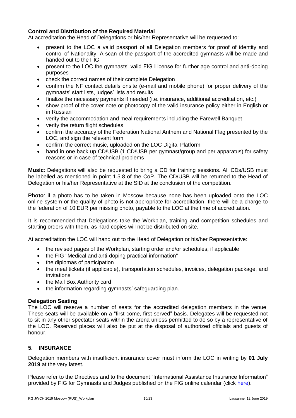# **Control and Distribution of the Required Material**

At accreditation the Head of Delegations or his/her Representative will be requested to:

- present to the LOC a valid passport of all Delegation members for proof of identity and control of Nationality. A scan of the passport of the accredited gymnasts will be made and handed out to the FIG
- present to the LOC the gymnasts' valid FIG License for further age control and anti-doping purposes
- check the correct names of their complete Delegation
- confirm the NF contact details onsite (e-mail and mobile phone) for proper delivery of the gymnasts' start lists, judges' lists and results
- finalize the necessary payments if needed (i.e. insurance, additional accreditation, etc.)
- show proof of the cover note or photocopy of the valid insurance policy either in English or in Russian
- verify the accommodation and meal requirements including the Farewell Banquet
- verify the return flight schedules
- confirm the accuracy of the Federation National Anthem and National Flag presented by the LOC, and sign the relevant form
- confirm the correct music, uploaded on the LOC Digital Platform
- hand in one back up CD/USB (1 CD/USB per gymnast/group and per apparatus) for safety reasons or in case of technical problems

**Music**: Delegations will also be requested to bring a CD for training sessions. All CDs/USB must be labelled as mentioned in point 1.5.8 of the CoP. The CD/USB will be returned to the Head of Delegation or his/her Representative at the SID at the conclusion of the competition.

**Photo**: if a photo has to be taken in Moscow because none has been uploaded onto the LOC online system or the quality of photo is not appropriate for accreditation, there will be a charge to the federation of 10 EUR per missing photo, payable to the LOC at the time of accreditation.

It is recommended that Delegations take the Workplan, training and competition schedules and starting orders with them, as hard copies will not be distributed on site.

At accreditation the LOC will hand out to the Head of Delegation or his/her Representative:

- the revised pages of the Workplan, starting order and/or schedules, if applicable
- the FIG "Medical and anti-doping practical information"
- the diplomas of participation
- the meal tickets (if applicable), transportation schedules, invoices, delegation package, and invitations
- the Mail Box Authority card
- the information regarding gymnasts' safeguarding plan.

# **Delegation Seating**

The LOC will reserve a number of seats for the accredited delegation members in the venue. These seats will be available on a "first come, first served" basis. Delegates will be requested not to sit in any other spectator seats within the arena unless permitted to do so by a representative of the LOC. Reserved places will also be put at the disposal of authorized officials and guests of honour.

# <span id="page-9-0"></span>**5. INSURANCE**

Delegation members with insufficient insurance cover must inform the LOC in writing by **01 July 2019** at the very latest.

Please refer to the Directives and to the document "International Assistance Insurance Information" provided by FIG for Gymnasts and Judges published on the FIG online calendar (click [here\)](https://www.gymnastics.sport/site/events/detail.php?id=15968#loaded).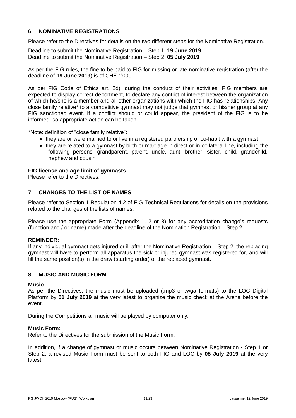# <span id="page-10-0"></span>**6. NOMINATIVE REGISTRATIONS**

Please refer to the Directives for details on the two different steps for the Nominative Registration.

Deadline to submit the Nominative Registration – Step 1: **19 June 2019** Deadline to submit the Nominative Registration – Step 2: **05 July 2019**

As per the FIG rules, the fine to be paid to FIG for missing or late nominative registration (after the deadline of **19 June 2019**) is of CHF 1'000.-.

As per FIG Code of Ethics art. 2d), during the conduct of their activities, FIG members are expected to display correct deportment, to declare any conflict of interest between the organization of which he/she is a member and all other organizations with which the FIG has relationships. Any close family relative\* to a competitive gymnast may not judge that gymnast or his/her group at any FIG sanctioned event. If a conflict should or could appear, the president of the FIG is to be informed, so appropriate action can be taken.

\*Note: definition of "close family relative":

- they are or were married to or live in a registered partnership or co-habit with a gymnast
- they are related to a gymnast by birth or marriage in direct or in collateral line, including the following persons: grandparent, parent, uncle, aunt, brother, sister, child, grandchild, nephew and cousin

#### **FIG license and age limit of gymnasts**

Please refer to the Directives.

# <span id="page-10-1"></span>**7. CHANGES TO THE LIST OF NAMES**

Please refer to Section 1 Regulation 4.2 of FIG Technical Regulations for details on the provisions related to the changes of the lists of names.

Please use the appropriate Form (Appendix 1, 2 or 3) for any accreditation change's requests (function and / or name) made after the deadline of the Nomination Registration – Step 2.

#### **REMINDER:**

If any individual gymnast gets injured or ill after the Nominative Registration – Step 2, the replacing gymnast will have to perform all apparatus the sick or injured gymnast was registered for, and will fill the same position(s) in the draw (starting order) of the replaced gymnast.

#### <span id="page-10-2"></span>**8. MUSIC AND MUSIC FORM**

#### **Music**

As per the Directives, the music must be uploaded (.mp3 or .wga formats) to the LOC Digital Platform by **01 July 2019** at the very latest to organize the music check at the Arena before the event.

During the Competitions all music will be played by computer only.

#### **Music Form:**

Refer to the Directives for the submission of the Music Form.

In addition, if a change of gymnast or music occurs between Nominative Registration - Step 1 or Step 2, a revised Music Form must be sent to both FIG and LOC by **05 July 2019** at the very latest.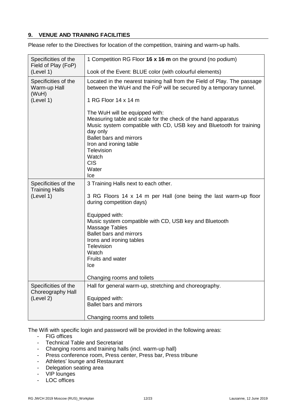# <span id="page-11-0"></span>**9. VENUE AND TRAINING FACILITIES**

Please refer to the Directives for location of the competition, training and warm-up halls.

| Specificities of the                                       | 1 Competition RG Floor 16 x 16 m on the ground (no podium)                                                                                                                                                                                                                                                                                                                       |
|------------------------------------------------------------|----------------------------------------------------------------------------------------------------------------------------------------------------------------------------------------------------------------------------------------------------------------------------------------------------------------------------------------------------------------------------------|
| Field of Play (FoP)                                        |                                                                                                                                                                                                                                                                                                                                                                                  |
| (Level 1)                                                  | Look of the Event: BLUE color (with colourful elements)                                                                                                                                                                                                                                                                                                                          |
| Specificities of the<br>Warm-up Hall<br>(WuH)<br>(Level 1) | Located in the nearest training hall from the Field of Play. The passage<br>between the WuH and the FoP will be secured by a temporary tunnel.<br>1 RG Floor 14 x 14 m                                                                                                                                                                                                           |
|                                                            | The WuH will be equipped with:<br>Measuring table and scale for the check of the hand apparatus<br>Music system compatible with CD, USB key and Bluetooth for training<br>day only<br><b>Ballet bars and mirrors</b><br>Iron and ironing table<br>Television<br>Watch<br><b>CIS</b><br>Water<br>Ice                                                                              |
| Specificities of the<br><b>Training Halls</b><br>(Level 1) | 3 Training Halls next to each other.<br>3 RG Floors 14 x 14 m per Hall (one being the last warm-up floor<br>during competition days)<br>Equipped with:<br>Music system compatible with CD, USB key and Bluetooth<br>Massage Tables<br><b>Ballet bars and mirrors</b><br>Irons and ironing tables<br>Television<br>Watch<br>Fruits and water<br>Ice<br>Changing rooms and toilets |
| Specificities of the<br>Choreography Hall<br>(Level 2)     | Hall for general warm-up, stretching and choreography.<br>Equipped with:<br>Ballet bars and mirrors<br>Changing rooms and toilets                                                                                                                                                                                                                                                |

The Wifi with specific login and password will be provided in the following areas:

- FIG offices
- Technical Table and Secretariat
- Changing rooms and training halls (incl. warm-up hall)
- Press conference room, Press center, Press bar, Press tribune
- Athletes' lounge and Restaurant
- Delegation seating area
- VIP lounges
- LOC offices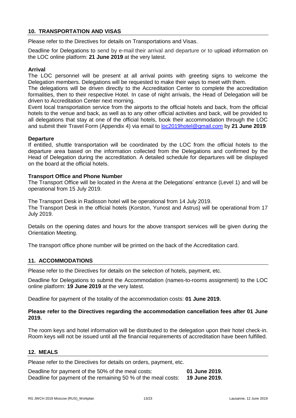# <span id="page-12-0"></span>**10. TRANSPORTATION AND VISAS**

Please refer to the Directives for details on Transportations and Visas.

Deadline for Delegations to send by e-mail their arrival and departure or to upload information on the LOC online platform: **21 June 2019** at the very latest.

# **Arrival**

The LOC personnel will be present at all arrival points with greeting signs to welcome the Delegation members. Delegations will be requested to make their ways to meet with them.

The delegations will be driven directly to the Accreditation Center to complete the accreditation formalities, then to their respective Hotel. In case of night arrivals, the Head of Delegation will be driven to Accreditation Center next morning.

Event local transportation service from the airports to the official hotels and back, from the official hotels to the venue and back, as well as to any other official activities and back, will be provided to all delegations that stay at one of the official hotels, book their accommodation through the LOC and submit their Travel Form (Appendix 4) via email to [loc2019hotel@gmail.com](mailto:oc2019hotel@gmail.com) by **21 June 2019**.

#### **Departure**

If entitled, shuttle transportation will be coordinated by the LOC from the official hotels to the departure area based on the information collected from the Delegations and confirmed by the Head of Delegation during the accreditation. A detailed schedule for departures will be displayed on the board at the official hotels.

# **Transport Office and Phone Number**

The Transport Office will be located in the Arena at the Delegations' entrance (Level 1) and will be operational from 15 July 2019.

The Transport Desk in Radisson hotel will be operational from 14 July 2019. The Transport Desk in the official hotels (Korston, Yunost and Astrus) will be operational from 17 July 2019.

Details on the opening dates and hours for the above transport services will be given during the Orientation Meeting.

The transport office phone number will be printed on the back of the Accreditation card.

#### <span id="page-12-1"></span>**11. ACCOMMODATIONS**

Please refer to the Directives for details on the selection of hotels, payment, etc.

Deadline for Delegations to submit the Accommodation (names-to-rooms assignment) to the LOC online platform: **19 June 2019** at the very latest.

Deadline for payment of the totality of the accommodation costs: **01 June 2019.**

# **Please refer to the Directives regarding the accommodation cancellation fees after 01 June 2019.**

The room keys and hotel information will be distributed to the delegation upon their hotel check-in. Room keys will not be issued until all the financial requirements of accreditation have been fulfilled.

#### <span id="page-12-2"></span>**12. MEALS**

Please refer to the Directives for details on orders, payment, etc.

Deadline for payment of the 50% of the meal costs: **01 June 2019.** Deadline for payment of the remaining 50 % of the meal costs: **19 June 2019.**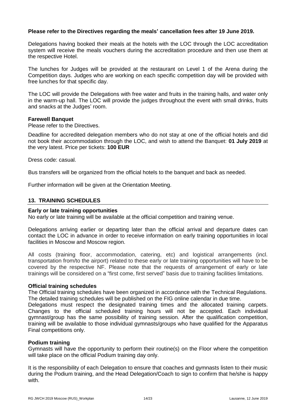# **Please refer to the Directives regarding the meals' cancellation fees after 19 June 2019.**

Delegations having booked their meals at the hotels with the LOC through the LOC accreditation system will receive the meals vouchers during the accreditation procedure and then use them at the respective Hotel.

The lunches for Judges will be provided at the restaurant on Level 1 of the Arena during the Competition days. Judges who are working on each specific competition day will be provided with free lunches for that specific day.

The LOC will provide the Delegations with free water and fruits in the training halls, and water only in the warm-up hall. The LOC will provide the judges throughout the event with small drinks, fruits and snacks at the Judges' room.

#### **Farewell Banquet**

Please refer to the Directives.

Deadline for accredited delegation members who do not stay at one of the official hotels and did not book their accommodation through the LOC, and wish to attend the Banquet: **01 July 2019** at the very latest. Price per tickets: **100 EUR**

Dress code: casual.

Bus transfers will be organized from the official hotels to the banquet and back as needed.

Further information will be given at the Orientation Meeting.

# <span id="page-13-0"></span>**13. TRAINING SCHEDULES**

#### **Early or late training opportunities**

No early or late training will be available at the official competition and training venue.

Delegations arriving earlier or departing later than the official arrival and departure dates can contact the LOC in advance in order to receive information on early training opportunities in local facilities in Moscow and Moscow region.

All costs (training floor, accommodation, catering, etc) and logistical arrangements (incl. transportation from/to the airport) related to these early or late training opportunities will have to be covered by the respective NF. Please note that the requests of arrangement of early or late trainings will be considered on a "first come, first served" basis due to training facilities limitations.

#### **Official training schedules**

The Official training schedules have been organized in accordance with the Technical Regulations. The detailed training schedules will be published on the FIG online calendar in due time.

Delegations must respect the designated training times and the allocated training carpets. Changes to the official scheduled training hours will not be accepted. Each individual gymnast/group has the same possibility of training session. After the qualification competition, training will be available to those individual gymnasts/groups who have qualified for the Apparatus Final competitions only.

#### **Podium training**

Gymnasts will have the opportunity to perform their routine(s) on the Floor where the competition will take place on the official Podium training day only.

It is the responsibility of each Delegation to ensure that coaches and gymnasts listen to their music during the Podium training, and the Head Delegation/Coach to sign to confirm that he/she is happy with.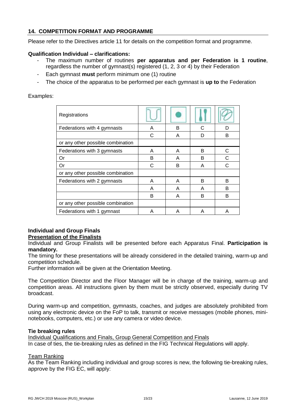# <span id="page-14-0"></span>**14. COMPETITION FORMAT AND PROGRAMME**

Please refer to the Directives article 11 for details on the competition format and programme.

# **Qualification Individual – clarifications:**

- The maximum number of routines **per apparatus and per Federation is 1 routine**, regardless the number of gymnast(s) registered (1, 2, 3 or 4) by their Federation
- Each gymnast **must** perform minimum one (1) routine
- The choice of the apparatus to be performed per each gymnast is **up to** the Federation

# Examples:

| Registrations                     |   |   |   |   |
|-----------------------------------|---|---|---|---|
| Federations with 4 gymnasts       | A | в | C | n |
|                                   | C | A | D | B |
| or any other possible combination |   |   |   |   |
| Federations with 3 gymnasts       | A | A | B | C |
| Or                                | В | A | в | C |
| Or                                | С | в | A | C |
| or any other possible combination |   |   |   |   |
| Federations with 2 gymnasts       | A | A | B | B |
|                                   | A | A | A | B |
|                                   | В | A | в | B |
| or any other possible combination |   |   |   |   |
| Federations with 1 gymnast        | Α | Α | А | Α |

#### **Individual and Group Finals Presentation of the Finalists**

Individual and Group Finalists will be presented before each Apparatus Final. **Participation is mandatory.**

The timing for these presentations will be already considered in the detailed training, warm-up and competition schedule.

Further information will be given at the Orientation Meeting.

The Competition Director and the Floor Manager will be in charge of the training, warm-up and competition areas. All instructions given by them must be strictly observed, especially during TV broadcast.

During warm-up and competition, gymnasts, coaches, and judges are absolutely prohibited from using any electronic device on the FoP to talk, transmit or receive messages (mobile phones, mininotebooks, computers, etc.) or use any camera or video device.

#### **Tie breaking rules**

Individual Qualifications and Finals, Group General Competition and Finals In case of ties, the tie-breaking rules as defined in the FIG Technical Regulations will apply.

# Team Ranking

As the Team Ranking including individual and group scores is new, the following tie-breaking rules, approve by the FIG EC, will apply: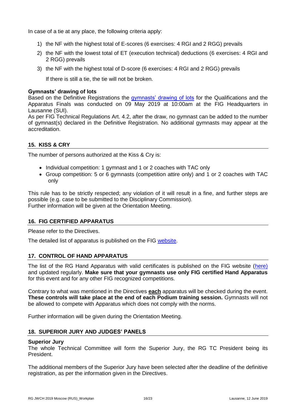In case of a tie at any place, the following criteria apply:

- 1) the NF with the highest total of E-scores (6 exercises: 4 RGI and 2 RGG) prevails
- 2) the NF with the lowest total of ET (execution technical) deductions (6 exercises: 4 RGI and 2 RGG) prevails
- 3) the NF with the highest total of D-score (6 exercises: 4 RGI and 2 RGG) prevails

If there is still a tie, the tie will not be broken.

# **Gymnasts' drawing of lots**

Based on the Definitive Registrations the [gymnasts' drawing of lots](https://www.gymnastics.sport/site/events/detail.php?id=15968#loaded) for the Qualifications and the Apparatus Finals was conducted on 09 May 2019 at 10:00am at the FIG Headquarters in Lausanne (SUI).

As per FIG Technical Regulations Art. 4.2, after the draw, no gymnast can be added to the number of gymnast(s) declared in the Definitive Registration. No additional gymnasts may appear at the accreditation.

# <span id="page-15-0"></span>**15. KISS & CRY**

The number of persons authorized at the Kiss & Cry is:

- Individual competition: 1 gymnast and 1 or 2 coaches with TAC only
- Group competition: 5 or 6 gymnasts (competition attire only) and 1 or 2 coaches with TAC only

This rule has to be strictly respected; any violation of it will result in a fine, and further steps are possible (e.g. case to be submitted to the Disciplinary Commission). Further information will be given at the Orientation Meeting.

# <span id="page-15-1"></span>**16. FIG CERTIFIED APPARATUS**

Please refer to the Directives.

The detailed list of apparatus is published on the FIG [website.](https://www.gymnastics.sport/site/events/detail.php?id=15968#loaded)

# <span id="page-15-2"></span>**17. CONTROL OF HAND APPARATUS**

The list of the RG Hand Apparatus with valid certificates is published on the FIG website [\(here\)](http://www.fig-docs.com/website/apparatus/rg_suppliers_holders.pdf) and updated regularly. **Make sure that your gymnasts use only FIG certified Hand Apparatus** for this event and for any other FIG recognized competitions.

Contrary to what was mentioned in the Directives **each** apparatus will be checked during the event. **These controls will take place at the end of each Podium training session.** Gymnasts will not be allowed to compete with Apparatus which does not comply with the norms.

Further information will be given during the Orientation Meeting.

# <span id="page-15-3"></span>**18. SUPERIOR JURY AND JUDGES' PANELS**

#### **Superior Jury**

The whole Technical Committee will form the Superior Jury, the RG TC President being its President.

The additional members of the Superior Jury have been selected after the deadline of the definitive registration, as per the information given in the Directives.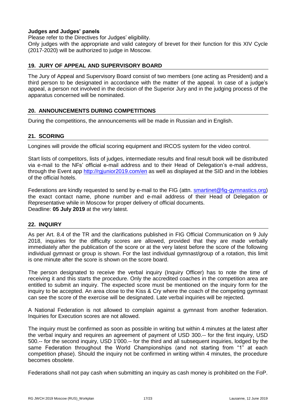# **Judges and Judges' panels**

Please refer to the Directives for Judges' eligibility.

Only judges with the appropriate and valid category of brevet for their function for this XIV Cycle (2017-2020) will be authorized to judge in Moscow.

# <span id="page-16-0"></span>**19. JURY OF APPEAL AND SUPERVISORY BOARD**

The Jury of Appeal and Supervisory Board consist of two members (one acting as President) and a third person to be designated in accordance with the matter of the appeal. In case of a judge's appeal, a person not involved in the decision of the Superior Jury and in the judging process of the apparatus concerned will be nominated.

# <span id="page-16-1"></span>**20. ANNOUNCEMENTS DURING COMPETITIONS**

During the competitions, the announcements will be made in Russian and in English.

# <span id="page-16-2"></span>**21. SCORING**

Longines will provide the official scoring equipment and IRCOS system for the video control.

Start lists of competitors, lists of judges, intermediate results and final result book will be distributed via e-mail to the NFs' official e-mail address and to their Head of Delegation's e-mail address, through the Event app <http://rgjunior2019.com/en> as well as displayed at the SID and in the lobbies of the official hotels.

Federations are kindly requested to send by e-mail to the FIG (attn. [smartinet@fig-gymnastics.org\)](mailto:smartinet@fig-gymnastics.org) the exact contact name, phone number and e-mail address of their Head of Delegation or Representative while in Moscow for proper delivery of official documents. Deadline: **05 July 2019** at the very latest.

#### <span id="page-16-3"></span>**22. INQUIRY**

As per Art. 8.4 of the TR and the clarifications published in FIG Official Communication on 9 July 2018, inquiries for the difficulty scores are allowed, provided that they are made verbally immediately after the publication of the score or at the very latest before the score of the following individual gymnast or group is shown. For the last individual gymnast/group of a rotation, this limit is one minute after the score is shown on the score board.

The person designated to receive the verbal inquiry (Inquiry Officer) has to note the time of receiving it and this starts the procedure. Only the accredited coaches in the competition area are entitled to submit an inquiry. The expected score must be mentioned on the inquiry form for the inquiry to be accepted. An area close to the Kiss & Cry where the coach of the competing gymnast can see the score of the exercise will be designated. Late verbal inquiries will be rejected.

A National Federation is not allowed to complain against a gymnast from another federation. Inquiries for Execution scores are not allowed.

The inquiry must be confirmed as soon as possible in writing but within 4 minutes at the latest after the verbal inquiry and requires an agreement of payment of USD 300.-- for the first inquiry, USD 500.-- for the second inquiry, USD 1'000.-- for the third and all subsequent inquiries, lodged by the same Federation throughout the World Championships (and not starting from "1" at each competition phase). Should the inquiry not be confirmed in writing within 4 minutes, the procedure becomes obsolete.

Federations shall not pay cash when submitting an inquiry as cash money is prohibited on the FoP.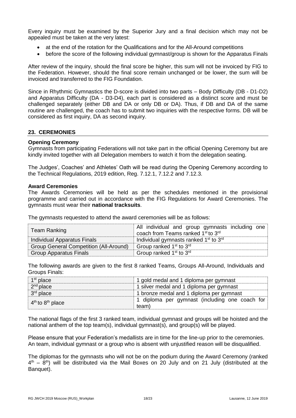Every inquiry must be examined by the Superior Jury and a final decision which may not be appealed must be taken at the very latest:

- at the end of the rotation for the Qualifications and for the All-Around competitions
- before the score of the following individual gymnast/group is shown for the Apparatus Finals

After review of the inquiry, should the final score be higher, this sum will not be invoiced by FIG to the Federation. However, should the final score remain unchanged or be lower, the sum will be invoiced and transferred to the FIG Foundation.

Since in Rhythmic Gymnastics the D-score is divided into two parts – Body Difficulty (DB - D1-D2) and Apparatus Difficulty (DA - D3-D4), each part is considered as a distinct score and must be challenged separately (either DB and DA or only DB or DA). Thus, if DB and DA of the same routine are challenged, the coach has to submit two inquiries with the respective forms. DB will be considered as first inquiry, DA as second inquiry.

#### <span id="page-17-0"></span>**23. CEREMONIES**

#### **Opening Ceremony**

Gymnasts from participating Federations will not take part in the official Opening Ceremony but are kindly invited together with all Delegation members to watch it from the delegation seating.

The Judges', Coaches' and Athletes' Oath will be read during the Opening Ceremony according to the Technical Regulations, 2019 edition, Reg. 7.12.1, 7.12.2 and 7.12.3.

#### **Award Ceremonies**

The Awards Ceremonies will be held as per the schedules mentioned in the provisional programme and carried out in accordance with the FIG Regulations for Award Ceremonies. The gymnasts must wear their **national tracksuits**.

The gymnasts requested to attend the award ceremonies will be as follows:

| <b>Team Ranking</b>                           | All individual and group gymnasts including one<br>coach from Teams ranked 1 <sup>st</sup> to 3 <sup>rd</sup> |  |
|-----------------------------------------------|---------------------------------------------------------------------------------------------------------------|--|
| Individual Apparatus Finals                   | Individual gymnasts ranked 1 <sup>st</sup> to 3 <sup>rd</sup>                                                 |  |
| <b>Group General Competition (All-Around)</b> | Group ranked 1 <sup>st</sup> to 3 <sup>rd</sup>                                                               |  |
| <b>Group Apparatus Finals</b>                 | Group ranked 1 <sup>st</sup> to 3 <sup>rd</sup>                                                               |  |

The following awards are given to the first 8 ranked Teams, Groups All-Around, Individuals and Groups Finals:

| $1st$ place          | 1 gold medal and 1 diploma per gymnast                  |  |
|----------------------|---------------------------------------------------------|--|
| $2nd$ place          | 1 silver medal and 1 diploma per gymnast                |  |
| $3rd$ place          | 1 bronze medal and 1 diploma per gymnast                |  |
| $4th$ to $8th$ place | 1 diploma per gymnast (including one coach for<br>team) |  |

The national flags of the first 3 ranked team, individual gymnast and groups will be hoisted and the national anthem of the top team(s), individual gymnast(s), and group(s) will be played.

Please ensure that your Federation's medallists are in time for the line-up prior to the ceremonies. An team, individual gymnast or a group who is absent with unjustified reason will be disqualified.

The diplomas for the gymnasts who will not be on the podium during the Award Ceremony (ranked  $4<sup>th</sup>$  – 8<sup>th</sup>) will be distributed via the Mail Boxes on 20 July and on 21 July (distributed at the Banquet).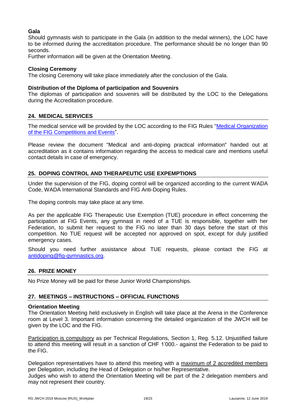# **Gala**

Should gymnasts wish to participate in the Gala (in addition to the medal winners), the LOC have to be informed during the accreditation procedure. The performance should be no longer than 90 seconds.

Further information will be given at the Orientation Meeting.

# **Closing Ceremony**

The closing Ceremony will take place immediately after the conclusion of the Gala.

# **Distribution of the Diploma of participation and Souvenirs**

The diplomas of participation and souvenirs will be distributed by the LOC to the Delegations during the Accreditation procedure.

# <span id="page-18-0"></span>**24. MEDICAL SERVICES**

The medical service will be provided by the LOC according to the FIG Rules "Medical Organization [of the FIG Competitions and Events"](https://www.gymnastics.sport/publicdir/rules/files/en_Medical%20Organisation%20of%20FIG%20Competitions%20and%20Events%202019.pdf).

Please review the document "Medical and anti-doping practical information" handed out at accreditation as it contains information regarding the access to medical care and mentions useful contact details in case of emergency.

# <span id="page-18-1"></span>**25. DOPING CONTROL AND THERAPEUTIC USE EXPEMPTIONS**

Under the supervision of the FIG, doping control will be organized according to the current WADA Code, WADA International Standards and FIG Anti-Doping Rules.

The doping controls may take place at any time.

As per the applicable FIG Therapeutic Use Exemption (TUE) procedure in effect concerning the participation at FIG Events, any gymnast in need of a TUE is responsible, together with her Federation, to submit her request to the FIG no later than 30 days before the start of this competition. No TUE request will be accepted nor approved on spot, except for duly justified emergency cases.

Should you need further assistance about TUE requests, please contact the FIG at [antidoping@fig-gymnastics.org.](mailto:antidoping@fig-gymnastics.org)

# <span id="page-18-2"></span>**26. PRIZE MONEY**

No Prize Money will be paid for these Junior World Championships.

#### <span id="page-18-3"></span>**27. MEETINGS – INSTRUCTIONS – OFFICIAL FUNCTIONS**

#### **Orientation Meeting**

The Orientation Meeting held exclusively in English will take place at the Arena in the Conference room at Level 3. Important information concerning the detailed organization of the JWCH will be given by the LOC and the FIG.

Participation is compulsory as per Technical Regulations, Section 1, Reg. 5.12. Unjustified failure to attend this meeting will result in a sanction of CHF 1'000.- against the Federation to be paid to the FIG.

Delegation representatives have to attend this meeting with a maximum of 2 accredited members per Delegation, including the Head of Delegation or his/her Representative.

Judges who wish to attend the Orientation Meeting will be part of the 2 delegation members and may not represent their country.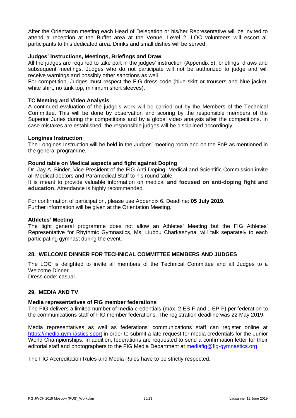After the Orientation meeting each Head of Delegation or his/her Representative will be invited to attend a reception at the Buffet area at the Venue, Level 2. LOC volunteers will escort all participants to this dedicated area. Drinks and small dishes will be served.

#### **Judges' Instructions, Meetings, Briefings and Draw**

All the judges are required to take part in the judges' instruction (Appendix 5), briefings, draws and subsequent meetings. Judges who do not participate will not be authorized to judge and will receive warnings and possibly other sanctions as well.

For competition, Judges must respect the FIG dress code (blue skirt or trousers and blue jacket, white shirt, no tank top, minimum short sleeves).

# **TC Meeting and Video Analysis**

A continued evaluation of the judge's work will be carried out by the Members of the Technical Committee. This will be done by observation and scoring by the responsible members of the Superior Juries during the competitions and by a global video analysis after the competitions. In case mistakes are established, the responsible judges will be disciplined accordingly.

#### **Longines Instruction**

The Longines Instruction will be held in the Judges' meeting room and on the FoP as mentioned in the general programme.

#### **Round table on Medical aspects and fight against Doping**

Dr. Jay A. Binder, Vice-President of the FIG Anti-Doping, Medical and Scientific Commission invite all Medical doctors and Paramedical Staff to his round table.

It is meant to provide valuable information on medical **and focused on anti-doping fight and education**. Attendance is highly recommended.

For confirmation of participation, please use Appendix 6. Deadline: **05 July 2019.** Further information will be given at the Orientation Meeting.

#### **Athletes' Meeting**

The tight general programme does not allow an Athletes' Meeting but the FIG Athletes' Representative for Rhythmic Gymnastics, Ms. Liubou Charkashyna, will talk separately to each participating gymnast during the event.

#### <span id="page-19-0"></span>**28. WELCOME DINNER FOR TECHNICAL COMMITTEE MEMBERS AND JUDGES**

The LOC is delighted to invite all members of the Technical Committee and all Judges to a Welcome Dinner. Dress code: casual.

# <span id="page-19-1"></span>**29. MEDIA AND TV**

#### **Media representatives of FIG member federations**

The FIG delivers a limited number of media credentials (max. 2 ES-F and 1 EP-F) per federation to the communications staff of FIG member federations. The registration deadline was 22 May 2019.

Media representatives as well as federations' communications staff can register online at [https://media.gymnastics.sport](https://media.gymnastics.sport/) in order to submit a late request for media credentials for the Junior World Championships. In addition, federations are requested to send a confirmation letter for their editorial staff and photographers to the FIG Media Department at [mediafig@fig-gymnastics.org.](mailto:mediafig@fig-gymnastics.org)

The FIG Accreditation Rules and Media Rules have to be strictly respected.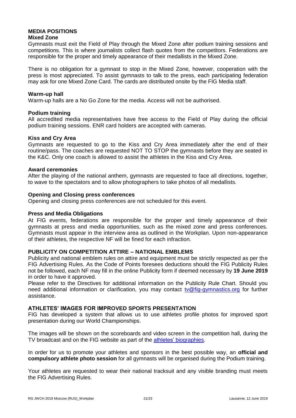# **MEDIA POSITIONS**

# **Mixed Zone**

Gymnasts must exit the Field of Play through the Mixed Zone after podium training sessions and competitions. This is where journalists collect flash quotes from the competitors. Federations are responsible for the proper and timely appearance of their medallists in the Mixed Zone.

There is no obligation for a gymnast to stop in the Mixed Zone, however, cooperation with the press is most appreciated. To assist gymnasts to talk to the press, each participating federation may ask for one Mixed Zone Card. The cards are distributed onsite by the FIG Media staff.

# **Warm-up hall**

Warm-up halls are a No Go Zone for the media. Access will not be authorised.

# **Podium training**

All accredited media representatives have free access to the Field of Play during the official podium training sessions. ENR card holders are accepted with cameras.

#### **Kiss and Cry Area**

Gymnasts are requested to go to the Kiss and Cry Area immediately after the end of their routine/pass. The coaches are requested NOT TO STOP the gymnasts before they are seated in the K&C. Only one coach is allowed to assist the athletes in the Kiss and Cry Area.

# **Award ceremonies**

After the playing of the national anthem, gymnasts are requested to face all directions, together, to wave to the spectators and to allow photographers to take photos of all medallists.

# **Opening and Closing press conferences**

Opening and closing press conferences are not scheduled for this event.

#### **Press and Media Obligations**

At FIG events, federations are responsible for the proper and timely appearance of their gymnasts at press and media opportunities, such as the mixed zone and press conferences. Gymnasts must appear in the interview area as outlined in the Workplan. Upon non-appearance of their athletes, the respective NF will be fined for each infraction.

#### **PUBLICITY ON COMPETITION ATTIRE – NATIONAL EMBLEMS**

Publicity and national emblem rules on attire and equipment must be strictly respected as per the FIG Advertising Rules. As the Code of Points foresees deductions should the FIG Publicity Rules not be followed, each NF may fill in the online Publicity form if deemed necessary by **19 June 2019** in order to have it approved.

Please refer to the Directives for additional information on the Publicity Rule Chart. Should you need additional information or clarification, you may contact [tv@fig-gymnastics.org](mailto:tv@fig-gymnastics.org) for further assistance.

# **ATHLETES' IMAGES FOR IMPROVED SPORTS PRESENTATION**

FIG has developed a system that allows us to use athletes profile photos for improved sport presentation during our World Championships.

The images will be shown on the scoreboards and video screen in the competition hall, during the TV broadcast and on the FIG website as part of the [athletes' biographies.](https://www.gymnastics.sport/site/athletes/bio_view.php)

In order for us to promote your athletes and sponsors in the best possible way, an **official and compulsory athlete photo session** for all gymnasts will be organised during the Podium training.

Your athletes are requested to wear their national tracksuit and any visible branding must meets the FIG Advertising Rules.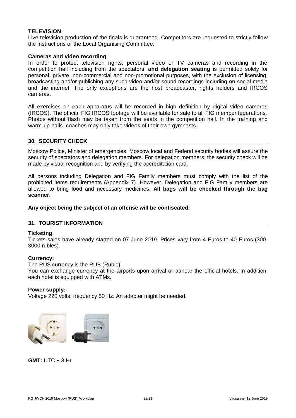# **TELEVISION**

Live television production of the finals is guaranteed. Competitors are requested to strictly follow the instructions of the Local Organising Committee.

# **Cameras and video recording**

In order to protect television rights, personal video or TV cameras and recording in the competition hall including from the spectators' **and delegation seating** is permitted solely for personal, private, non-commercial and non-promotional purposes, with the exclusion of licensing, broadcasting and/or publishing any such video and/or sound recordings including on social media and the internet. The only exceptions are the host broadcaster, rights holders and IRCOS cameras.

All exercises on each apparatus will be recorded in high definition by digital video cameras (IRCOS). The official FIG IRCOS footage will be available for sale to all FIG member federations. Photos without flash may be taken from the seats in the competition hall. In the training and warm-up halls, coaches may only take videos of their own gymnasts.

# <span id="page-21-0"></span>**30. SECURITY CHECK**

Moscow Police, Minister of emergencies, Moscow local and Federal security bodies will assure the security of spectators and delegation members. For delegation members, the security check will be made by visual recognition and by verifying the accreditation card.

All persons including Delegation and FIG Family members must comply with the list of the prohibited items requirements (Appendix 7). However, Delegation and FIG Family members are allowed to bring food and necessary medicines. **All bags will be checked through the bag scanner.**

# **Any object being the subject of an offense will be confiscated.**

# <span id="page-21-1"></span>**31. TOURIST INFORMATION**

#### **Ticketing**

Tickets sales have already started on 07 June 2019. Prices vary from 4 Euros to 40 Euros (300- 3000 rubles).

#### **Currency:**

The RUS currency is the RUB (Ruble)

You can exchange currency at the airports upon arrival or at/near the official hotels. In addition, each hotel is equipped with ATMs.

#### **Power supply:**

Voltage 220 volts; frequency 50 Hz. An adapter might be needed.



**GMT:** UTC + 3 Hr